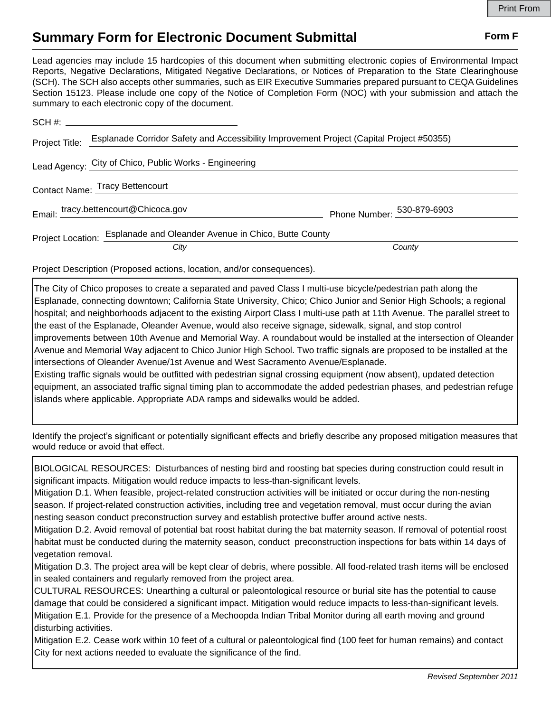## **Summary Form for Electronic Document Submittal Form F Form F**

Lead agencies may include 15 hardcopies of this document when submitting electronic copies of Environmental Impact Reports, Negative Declarations, Mitigated Negative Declarations, or Notices of Preparation to the State Clearinghouse (SCH). The SCH also accepts other summaries, such as EIR Executive Summaries prepared pursuant to CEQA Guidelines Section 15123. Please include one copy of the Notice of Completion Form (NOC) with your submission and attach the summary to each electronic copy of the document.

| Project Title: | Esplanade Corridor Safety and Accessibility Improvement Project (Capital Project #50355) |                            |
|----------------|------------------------------------------------------------------------------------------|----------------------------|
|                | Lead Agency: City of Chico, Public Works - Engineering                                   |                            |
|                | Contact Name: Tracy Bettencourt                                                          |                            |
|                | Email: tracy.bettencourt@Chicoca.gov                                                     | Phone Number: 530-879-6903 |
|                | Project Location: Esplanade and Oleander Avenue in Chico, Butte County                   |                            |
|                | City                                                                                     | County                     |

Project Description (Proposed actions, location, and/or consequences).

The City of Chico proposes to create a separated and paved Class I multi-use bicycle/pedestrian path along the Esplanade, connecting downtown; California State University, Chico; Chico Junior and Senior High Schools; a regional hospital; and neighborhoods adjacent to the existing Airport Class I multi-use path at 11th Avenue. The parallel street to the east of the Esplanade, Oleander Avenue, would also receive signage, sidewalk, signal, and stop control improvements between 10th Avenue and Memorial Way. A roundabout would be installed at the intersection of Oleander Avenue and Memorial Way adjacent to Chico Junior High School. Two traffic signals are proposed to be installed at the intersections of Oleander Avenue/1st Avenue and West Sacramento Avenue/Esplanade. Existing traffic signals would be outfitted with pedestrian signal crossing equipment (now absent), updated detection equipment, an associated traffic signal timing plan to accommodate the added pedestrian phases, and pedestrian refuge

islands where applicable. Appropriate ADA ramps and sidewalks would be added.

Identify the project's significant or potentially significant effects and briefly describe any proposed mitigation measures that would reduce or avoid that effect.

BIOLOGICAL RESOURCES: Disturbances of nesting bird and roosting bat species during construction could result in significant impacts. Mitigation would reduce impacts to less-than-significant levels.

Mitigation D.1. When feasible, project-related construction activities will be initiated or occur during the non-nesting season. If project-related construction activities, including tree and vegetation removal, must occur during the avian nesting season conduct preconstruction survey and establish protective buffer around active nests.

Mitigation D.2. Avoid removal of potential bat roost habitat during the bat maternity season. If removal of potential roost habitat must be conducted during the maternity season, conduct preconstruction inspections for bats within 14 days of vegetation removal.

Mitigation D.3. The project area will be kept clear of debris, where possible. All food-related trash items will be enclosed in sealed containers and regularly removed from the project area.

CULTURAL RESOURCES: Unearthing a cultural or paleontological resource or burial site has the potential to cause damage that could be considered a significant impact. Mitigation would reduce impacts to less-than-significant levels. Mitigation E.1. Provide for the presence of a Mechoopda Indian Tribal Monitor during all earth moving and ground disturbing activities.

Mitigation E.2. Cease work within 10 feet of a cultural or paleontological find (100 feet for human remains) and contact City for next actions needed to evaluate the significance of the find.